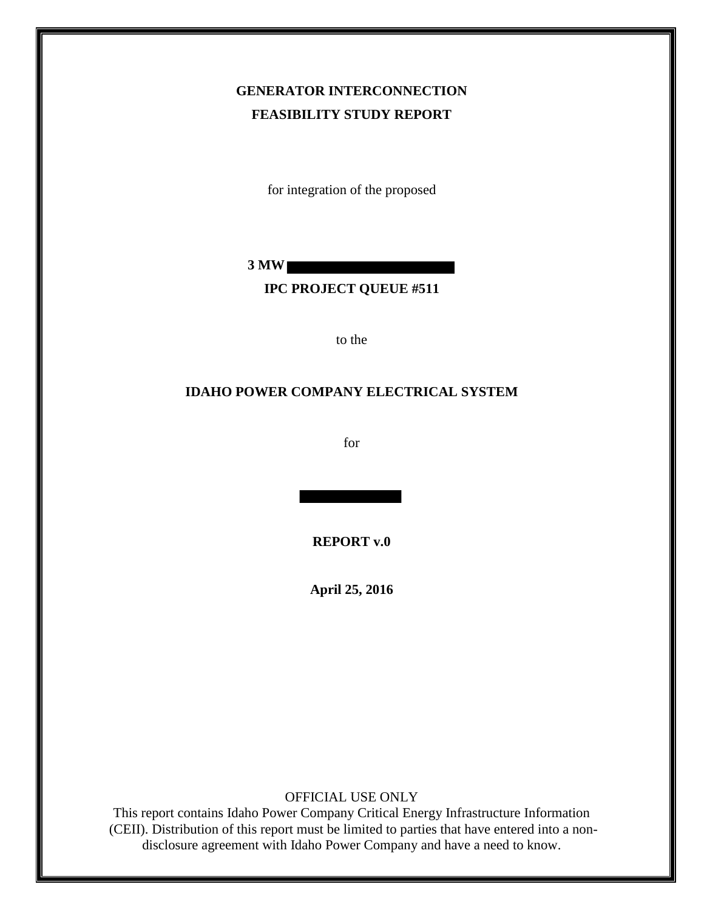# **GENERATOR INTERCONNECTION FEASIBILITY STUDY REPORT**

for integration of the proposed

**3 MW** 

# **IPC PROJECT QUEUE #511**

to the

#### **IDAHO POWER COMPANY ELECTRICAL SYSTEM**

for

**REPORT v.0** 

**April 25, 2016**

OFFICIAL USE ONLY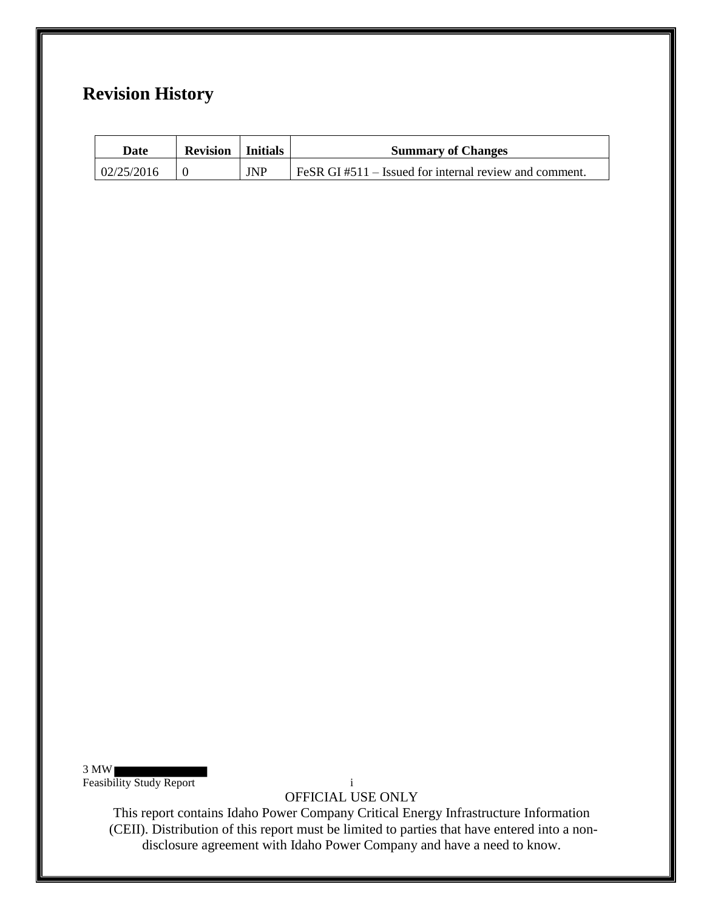# **Revision History**

| Date       | <b>Revision</b>   Initials |            | <b>Summary of Changes</b>                                    |
|------------|----------------------------|------------|--------------------------------------------------------------|
| 02/25/2016 |                            | <b>JNP</b> | $F \in SR$ GI #511 – Issued for internal review and comment. |

3 MW Feasibility Study Report i

OFFICIAL USE ONLY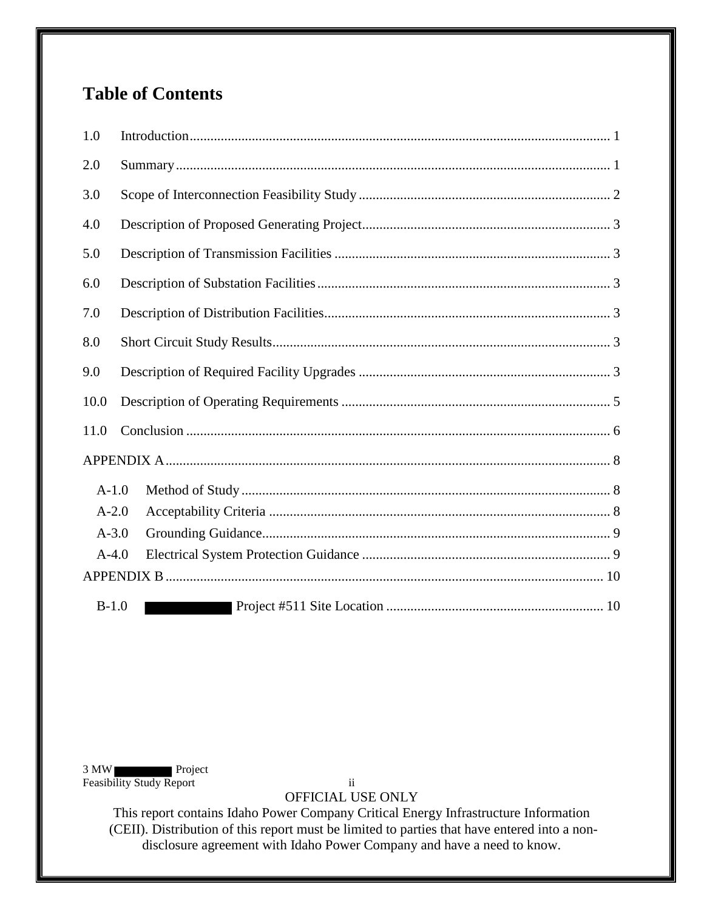# **Table of Contents**

| 1.0     |  |
|---------|--|
| 2.0     |  |
| 3.0     |  |
| 4.0     |  |
| 5.0     |  |
| 6.0     |  |
| 7.0     |  |
| 8.0     |  |
| 9.0     |  |
| 10.0    |  |
| 11.0    |  |
|         |  |
| $A-1.0$ |  |
| $A-2.0$ |  |
| $A-3.0$ |  |
| $A-4.0$ |  |
|         |  |
| $B-1.0$ |  |

3 MW Project Feasibility Study Report ii

OFFICIAL USE ONLY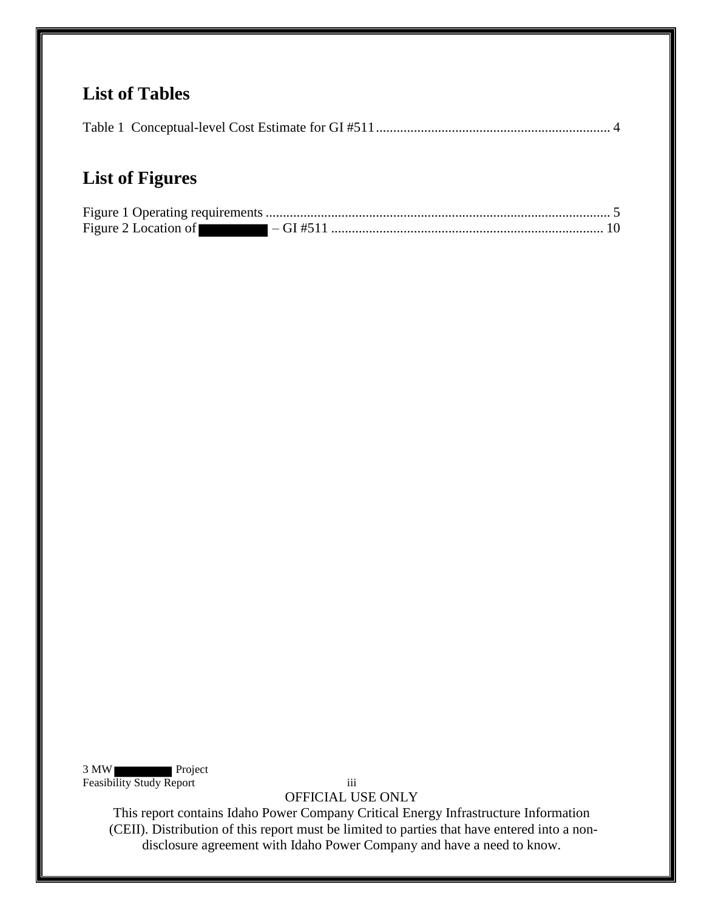# **List of Tables**

|--|

# **List of Figures**

| Figure 2 Location of $-GI \#511$ |  |
|----------------------------------|--|

3 MW Project Feasibility Study Report iii

OFFICIAL USE ONLY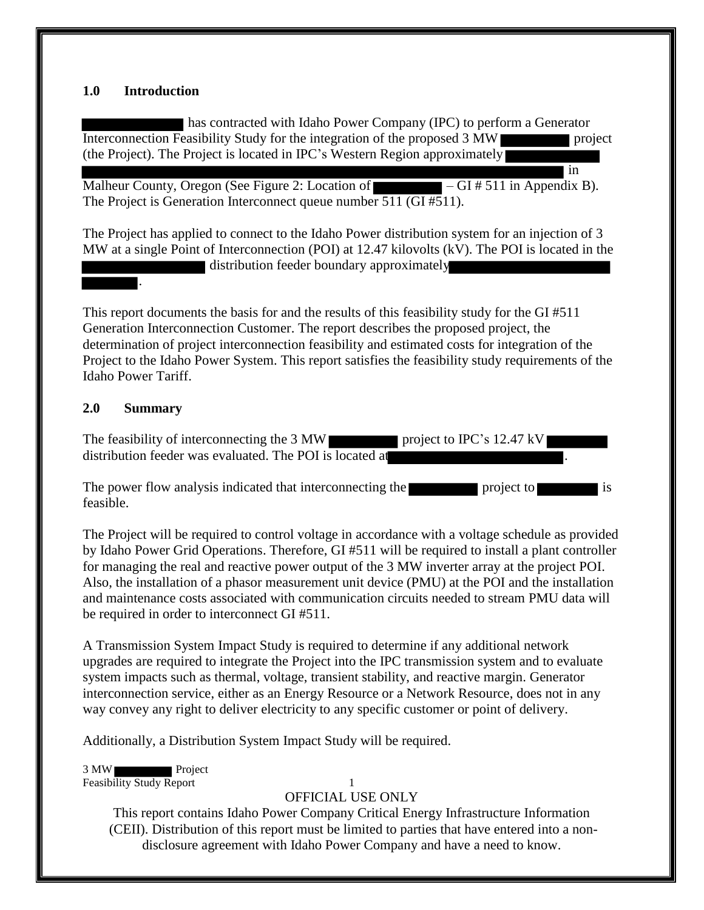#### <span id="page-4-0"></span>**1.0 Introduction**

has contracted with Idaho Power Company (IPC) to perform a Generator Interconnection Feasibility Study for the integration of the proposed 3 MW project (the Project). The Project is located in IPC's Western Region approximately

in

Malheur County, Oregon (See Figure 2: Location of  $-$  GI # 511 in Appendix B). The Project is Generation Interconnect queue number 511 (GI #511).

The Project has applied to connect to the Idaho Power distribution system for an injection of 3 MW at a single Point of Interconnection (POI) at 12.47 kilovolts (kV). The POI is located in the distribution feeder boundary approximately

This report documents the basis for and the results of this feasibility study for the GI #511 Generation Interconnection Customer. The report describes the proposed project, the determination of project interconnection feasibility and estimated costs for integration of the Project to the Idaho Power System. This report satisfies the feasibility study requirements of the Idaho Power Tariff.

#### <span id="page-4-1"></span>**2.0 Summary**

.

The feasibility of interconnecting the 3 MW project to IPC's 12.47 kV distribution feeder was evaluated. The POI is located at

The power flow analysis indicated that interconnecting the project to project to is feasible.

The Project will be required to control voltage in accordance with a voltage schedule as provided by Idaho Power Grid Operations. Therefore, GI #511 will be required to install a plant controller for managing the real and reactive power output of the 3 MW inverter array at the project POI. Also, the installation of a phasor measurement unit device (PMU) at the POI and the installation and maintenance costs associated with communication circuits needed to stream PMU data will be required in order to interconnect GI #511.

A Transmission System Impact Study is required to determine if any additional network upgrades are required to integrate the Project into the IPC transmission system and to evaluate system impacts such as thermal, voltage, transient stability, and reactive margin. Generator interconnection service, either as an Energy Resource or a Network Resource, does not in any way convey any right to deliver electricity to any specific customer or point of delivery.

Additionally, a Distribution System Impact Study will be required.

3 MW Project Feasibility Study Report 1

#### OFFICIAL USE ONLY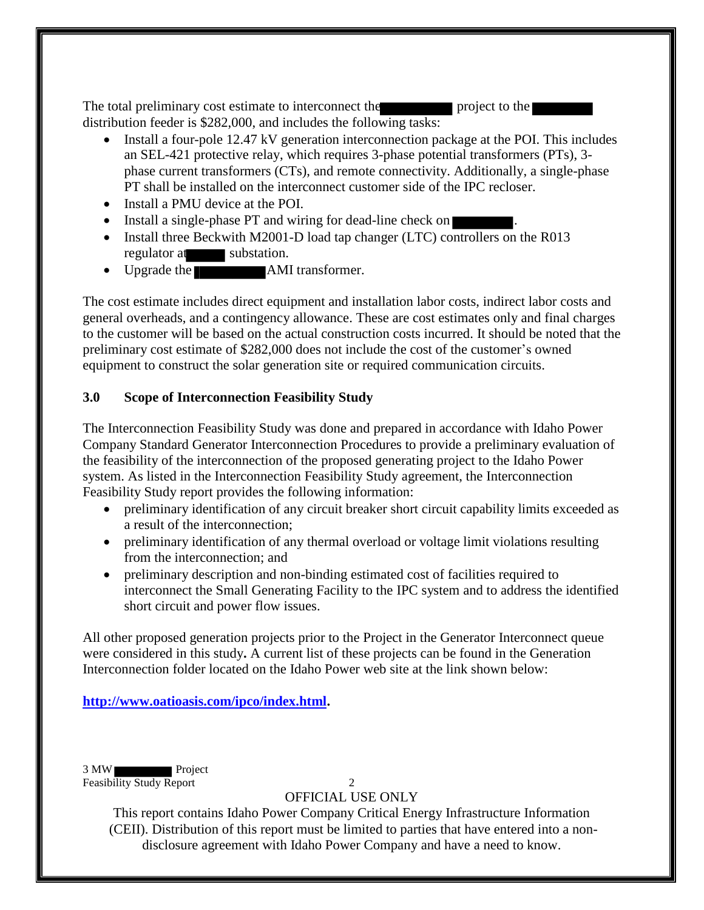The total preliminary cost estimate to interconnect the project to the distribution feeder is \$282,000, and includes the following tasks:

- Install a four-pole 12.47 kV generation interconnection package at the POI. This includes an SEL-421 protective relay, which requires 3-phase potential transformers (PTs), 3 phase current transformers (CTs), and remote connectivity. Additionally, a single-phase PT shall be installed on the interconnect customer side of the IPC recloser.
- Install a PMU device at the POI.
- Install a single-phase PT and wiring for dead-line check on
- Install three Beckwith M2001-D load tap changer (LTC) controllers on the R013 regulator at substation.
- Upgrade the **AMI** transformer.

The cost estimate includes direct equipment and installation labor costs, indirect labor costs and general overheads, and a contingency allowance. These are cost estimates only and final charges to the customer will be based on the actual construction costs incurred. It should be noted that the preliminary cost estimate of \$282,000 does not include the cost of the customer's owned equipment to construct the solar generation site or required communication circuits.

## <span id="page-5-0"></span>**3.0 Scope of Interconnection Feasibility Study**

The Interconnection Feasibility Study was done and prepared in accordance with Idaho Power Company Standard Generator Interconnection Procedures to provide a preliminary evaluation of the feasibility of the interconnection of the proposed generating project to the Idaho Power system. As listed in the Interconnection Feasibility Study agreement, the Interconnection Feasibility Study report provides the following information:

- preliminary identification of any circuit breaker short circuit capability limits exceeded as a result of the interconnection;
- preliminary identification of any thermal overload or voltage limit violations resulting from the interconnection; and
- preliminary description and non-binding estimated cost of facilities required to interconnect the Small Generating Facility to the IPC system and to address the identified short circuit and power flow issues.

All other proposed generation projects prior to the Project in the Generator Interconnect queue were considered in this study**.** A current list of these projects can be found in the Generation Interconnection folder located on the Idaho Power web site at the link shown below:

**[http://www.oatioasis.com/ipco/index.html.](http://www.oatioasis.com/ipco/index.html)** 

3 MW Project Feasibility Study Report 2

OFFICIAL USE ONLY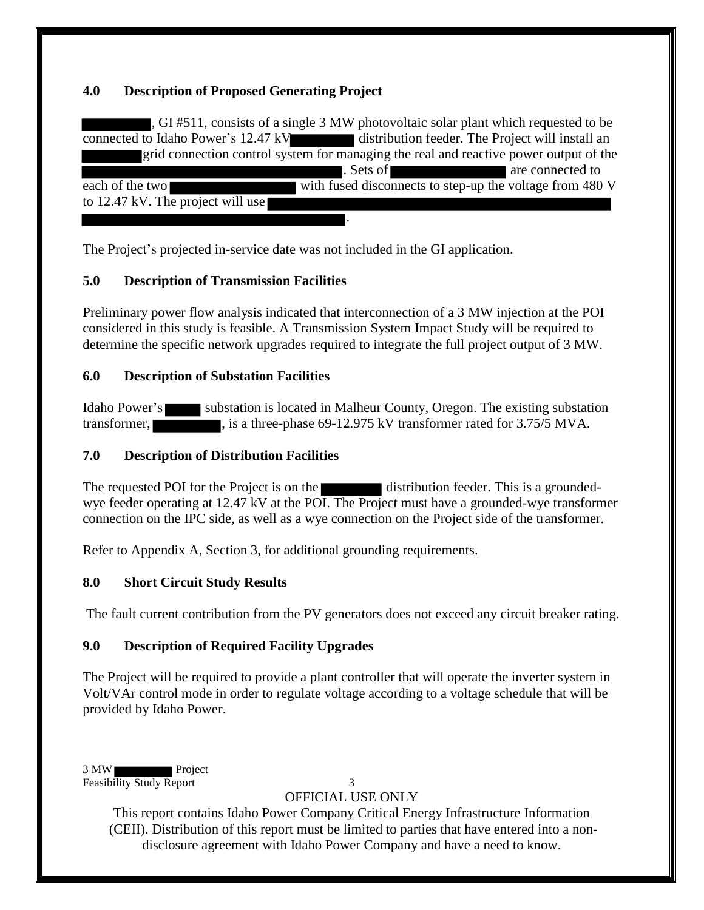### <span id="page-6-0"></span>**4.0 Description of Proposed Generating Project**

, GI #511, consists of a single 3 MW photovoltaic solar plant which requested to be connected to Idaho Power's 12.47 kV distribution feeder. The Project will install an grid connection control system for managing the real and reactive power output of the . Sets of are connected to each of the two with fused disconnects to step-up the voltage from 480 V to 12.47 kV. The project will use .

The Project's projected in-service date was not included in the GI application.

# <span id="page-6-1"></span>**5.0 Description of Transmission Facilities**

Preliminary power flow analysis indicated that interconnection of a 3 MW injection at the POI considered in this study is feasible. A Transmission System Impact Study will be required to determine the specific network upgrades required to integrate the full project output of 3 MW.

#### <span id="page-6-2"></span>**6.0 Description of Substation Facilities**

Idaho Power's substation is located in Malheur County, Oregon. The existing substation transformer, is a three-phase 69-12.975 kV transformer rated for 3.75/5 MVA.

# <span id="page-6-3"></span>**7.0 Description of Distribution Facilities**

The requested POI for the Project is on the distribution feeder. This is a groundedwye feeder operating at 12.47 kV at the POI. The Project must have a grounded-wye transformer connection on the IPC side, as well as a wye connection on the Project side of the transformer.

Refer to Appendix A, Section 3, for additional grounding requirements.

#### <span id="page-6-4"></span>**8.0 Short Circuit Study Results**

The fault current contribution from the PV generators does not exceed any circuit breaker rating.

#### <span id="page-6-5"></span>**9.0 Description of Required Facility Upgrades**

The Project will be required to provide a plant controller that will operate the inverter system in Volt/VAr control mode in order to regulate voltage according to a voltage schedule that will be provided by Idaho Power.

3 MW Project Feasibility Study Report 3

# OFFICIAL USE ONLY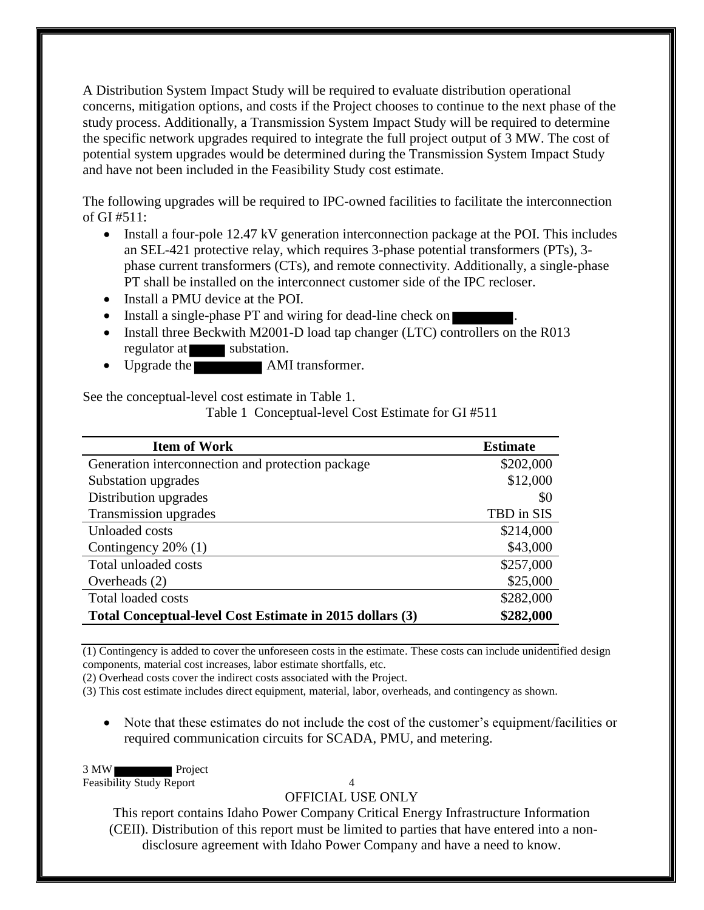A Distribution System Impact Study will be required to evaluate distribution operational concerns, mitigation options, and costs if the Project chooses to continue to the next phase of the study process. Additionally, a Transmission System Impact Study will be required to determine the specific network upgrades required to integrate the full project output of 3 MW. The cost of potential system upgrades would be determined during the Transmission System Impact Study and have not been included in the Feasibility Study cost estimate.

The following upgrades will be required to IPC-owned facilities to facilitate the interconnection of GI #511:

- Install a four-pole 12.47 kV generation interconnection package at the POI. This includes an SEL-421 protective relay, which requires 3-phase potential transformers (PTs), 3 phase current transformers (CTs), and remote connectivity. Additionally, a single-phase PT shall be installed on the interconnect customer side of the IPC recloser.
- Install a PMU device at the POI.
- Install a single-phase PT and wiring for dead-line check on
- Install three Beckwith M2001-D load tap changer (LTC) controllers on the R013 regulator at substation.
- Upgrade the **AMI** transformer.

<span id="page-7-0"></span>See the conceptual-level cost estimate in Table 1.

Table 1 Conceptual-level Cost Estimate for GI #511

| <b>Item of Work</b>                                      | <b>Estimate</b> |
|----------------------------------------------------------|-----------------|
| Generation interconnection and protection package        | \$202,000       |
| Substation upgrades                                      | \$12,000        |
| Distribution upgrades                                    | \$0             |
| Transmission upgrades                                    | TBD in SIS      |
| Unloaded costs                                           | \$214,000       |
| Contingency $20\%$ (1)                                   | \$43,000        |
| Total unloaded costs                                     | \$257,000       |
| Overheads (2)                                            | \$25,000        |
| <b>Total loaded costs</b>                                | \$282,000       |
| Total Conceptual-level Cost Estimate in 2015 dollars (3) | \$282,000       |

(1) Contingency is added to cover the unforeseen costs in the estimate. These costs can include unidentified design components, material cost increases, labor estimate shortfalls, etc.

(2) Overhead costs cover the indirect costs associated with the Project.

(3) This cost estimate includes direct equipment, material, labor, overheads, and contingency as shown.

 Note that these estimates do not include the cost of the customer's equipment/facilities or required communication circuits for SCADA, PMU, and metering.

3 MW Project

Feasibility Study Report 4

OFFICIAL USE ONLY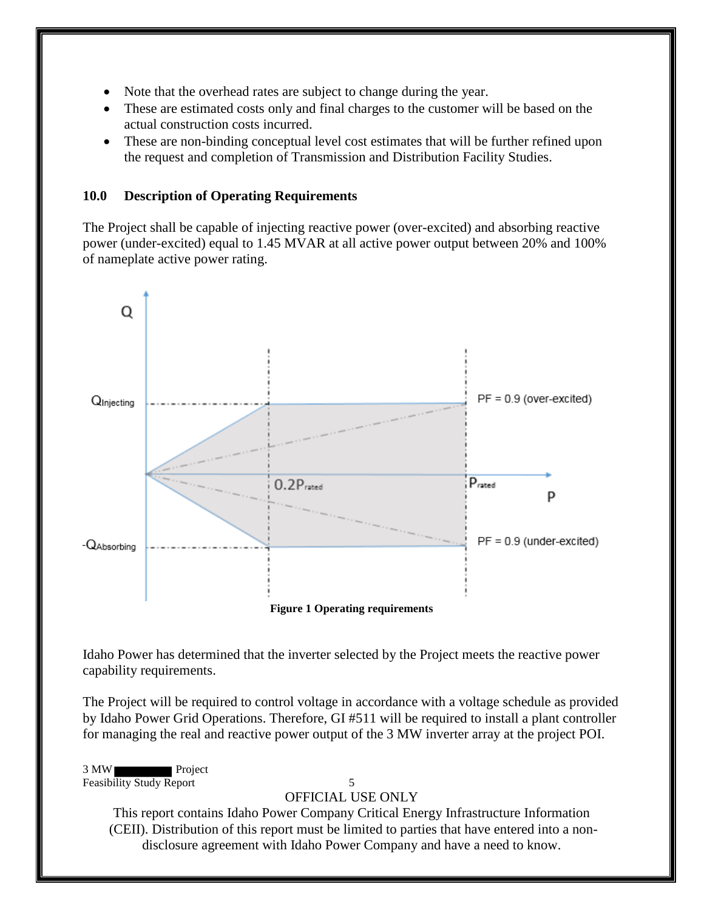- Note that the overhead rates are subject to change during the year.
- These are estimated costs only and final charges to the customer will be based on the actual construction costs incurred.
- These are non-binding conceptual level cost estimates that will be further refined upon the request and completion of Transmission and Distribution Facility Studies.

#### <span id="page-8-0"></span>**10.0 Description of Operating Requirements**

The Project shall be capable of injecting reactive power (over-excited) and absorbing reactive power (under-excited) equal to 1.45 MVAR at all active power output between 20% and 100% of nameplate active power rating.



<span id="page-8-1"></span>Idaho Power has determined that the inverter selected by the Project meets the reactive power capability requirements.

The Project will be required to control voltage in accordance with a voltage schedule as provided by Idaho Power Grid Operations. Therefore, GI #511 will be required to install a plant controller for managing the real and reactive power output of the 3 MW inverter array at the project POI.

3 MW Project Feasibility Study Report 5

#### OFFICIAL USE ONLY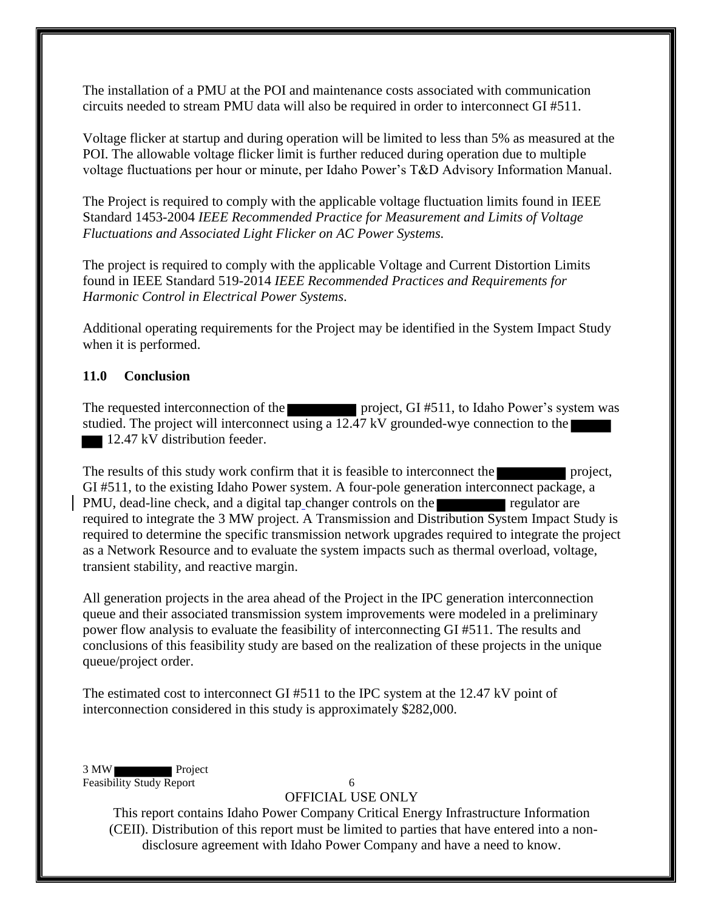The installation of a PMU at the POI and maintenance costs associated with communication circuits needed to stream PMU data will also be required in order to interconnect GI #511.

Voltage flicker at startup and during operation will be limited to less than 5% as measured at the POI. The allowable voltage flicker limit is further reduced during operation due to multiple voltage fluctuations per hour or minute, per Idaho Power's T&D Advisory Information Manual.

The Project is required to comply with the applicable voltage fluctuation limits found in IEEE Standard 1453-2004 *IEEE Recommended Practice for Measurement and Limits of Voltage Fluctuations and Associated Light Flicker on AC Power Systems.* 

The project is required to comply with the applicable Voltage and Current Distortion Limits found in IEEE Standard 519-2014 *IEEE Recommended Practices and Requirements for Harmonic Control in Electrical Power Systems*.

Additional operating requirements for the Project may be identified in the System Impact Study when it is performed.

#### <span id="page-9-0"></span>**11.0 Conclusion**

The requested interconnection of the project, GI #511, to Idaho Power's system was studied. The project will interconnect using a 12.47 kV grounded-wye connection to the 12.47 kV distribution feeder.

The results of this study work confirm that it is feasible to interconnect the project, GI #511, to the existing Idaho Power system. A four-pole generation interconnect package, a PMU, dead-line check, and a digital tap changer controls on the regulator are required to integrate the 3 MW project. A Transmission and Distribution System Impact Study is required to determine the specific transmission network upgrades required to integrate the project as a Network Resource and to evaluate the system impacts such as thermal overload, voltage, transient stability, and reactive margin.

All generation projects in the area ahead of the Project in the IPC generation interconnection queue and their associated transmission system improvements were modeled in a preliminary power flow analysis to evaluate the feasibility of interconnecting GI #511. The results and conclusions of this feasibility study are based on the realization of these projects in the unique queue/project order.

The estimated cost to interconnect GI #511 to the IPC system at the 12.47 kV point of interconnection considered in this study is approximately \$282,000.

3 MW Project Feasibility Study Report 6

#### OFFICIAL USE ONLY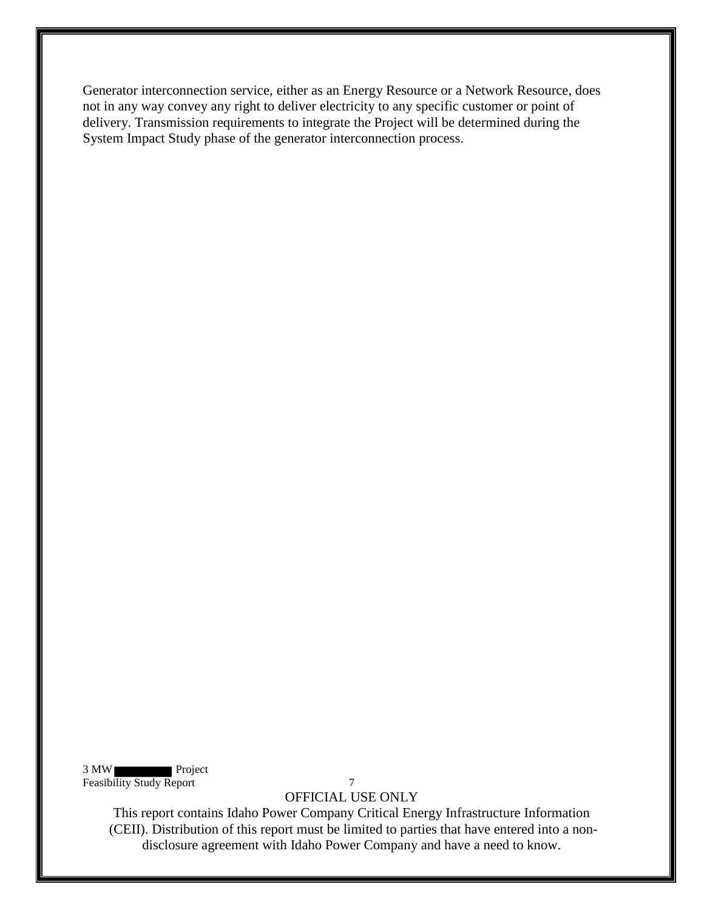Generator interconnection service, either as an Energy Resource or a Network Resource, does not in any way convey any right to deliver electricity to any specific customer or point of delivery. Transmission requirements to integrate the Project will be determined during the System Impact Study phase of the generator interconnection process.

3 MW Project Feasibility Study Report 7

OFFICIAL USE ONLY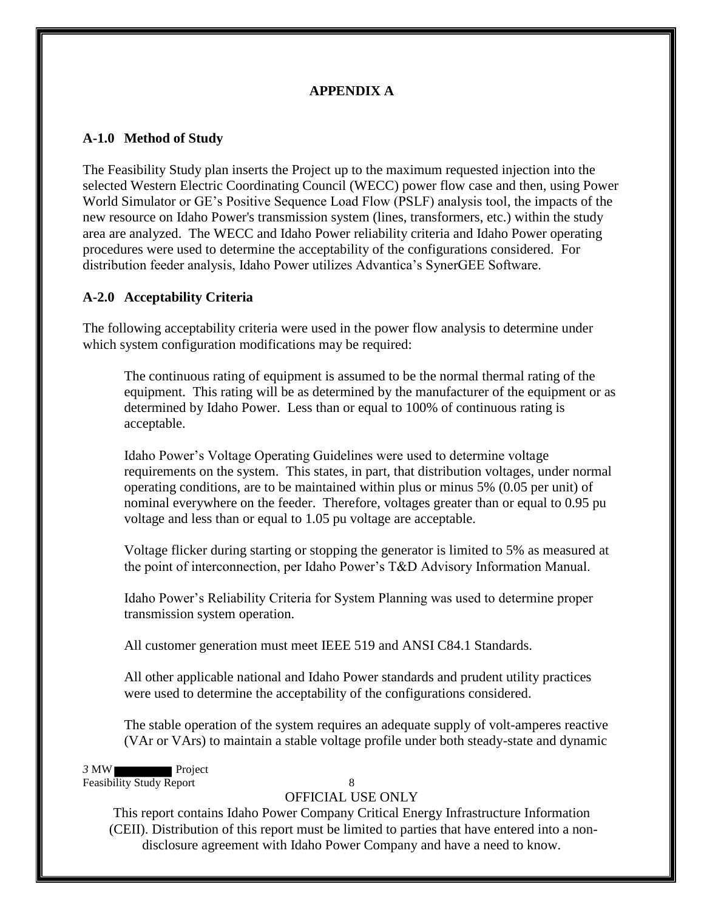## **APPENDIX A**

### <span id="page-11-1"></span><span id="page-11-0"></span>**A-1.0 Method of Study**

The Feasibility Study plan inserts the Project up to the maximum requested injection into the selected Western Electric Coordinating Council (WECC) power flow case and then, using Power World Simulator or GE's Positive Sequence Load Flow (PSLF) analysis tool, the impacts of the new resource on Idaho Power's transmission system (lines, transformers, etc.) within the study area are analyzed. The WECC and Idaho Power reliability criteria and Idaho Power operating procedures were used to determine the acceptability of the configurations considered. For distribution feeder analysis, Idaho Power utilizes Advantica's SynerGEE Software.

## <span id="page-11-2"></span>**A-2.0 Acceptability Criteria**

The following acceptability criteria were used in the power flow analysis to determine under which system configuration modifications may be required:

 The continuous rating of equipment is assumed to be the normal thermal rating of the equipment. This rating will be as determined by the manufacturer of the equipment or as determined by Idaho Power. Less than or equal to 100% of continuous rating is acceptable.

Idaho Power's Voltage Operating Guidelines were used to determine voltage requirements on the system. This states, in part, that distribution voltages, under normal operating conditions, are to be maintained within plus or minus 5% (0.05 per unit) of nominal everywhere on the feeder. Therefore, voltages greater than or equal to 0.95 pu voltage and less than or equal to 1.05 pu voltage are acceptable.

Voltage flicker during starting or stopping the generator is limited to 5% as measured at the point of interconnection, per Idaho Power's T&D Advisory Information Manual.

Idaho Power's Reliability Criteria for System Planning was used to determine proper transmission system operation.

All customer generation must meet IEEE 519 and ANSI C84.1 Standards.

All other applicable national and Idaho Power standards and prudent utility practices were used to determine the acceptability of the configurations considered.

The stable operation of the system requires an adequate supply of volt-amperes reactive (VAr or VArs) to maintain a stable voltage profile under both steady-state and dynamic

*3* MW Project Feasibility Study Report 8

#### OFFICIAL USE ONLY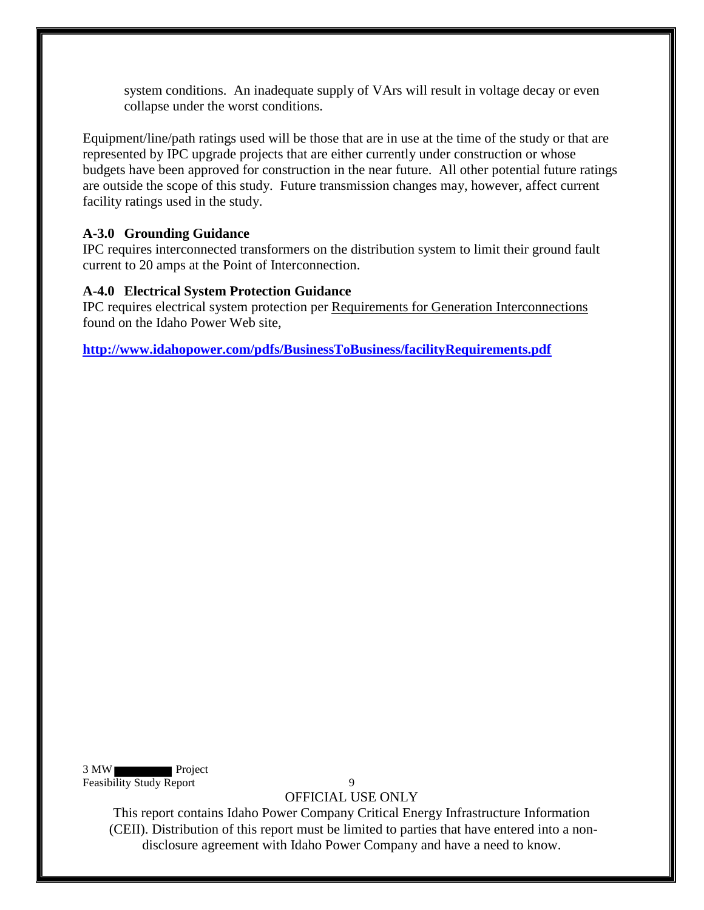system conditions. An inadequate supply of VArs will result in voltage decay or even collapse under the worst conditions.

Equipment/line/path ratings used will be those that are in use at the time of the study or that are represented by IPC upgrade projects that are either currently under construction or whose budgets have been approved for construction in the near future. All other potential future ratings are outside the scope of this study. Future transmission changes may, however, affect current facility ratings used in the study.

#### <span id="page-12-0"></span>**A-3.0 Grounding Guidance**

IPC requires interconnected transformers on the distribution system to limit their ground fault current to 20 amps at the Point of Interconnection.

#### <span id="page-12-1"></span>**A-4.0 Electrical System Protection Guidance**

IPC requires electrical system protection per Requirements for Generation Interconnections found on the Idaho Power Web site,

**<http://www.idahopower.com/pdfs/BusinessToBusiness/facilityRequirements.pdf>**

3 MW Project Feasibility Study Report 9

OFFICIAL USE ONLY